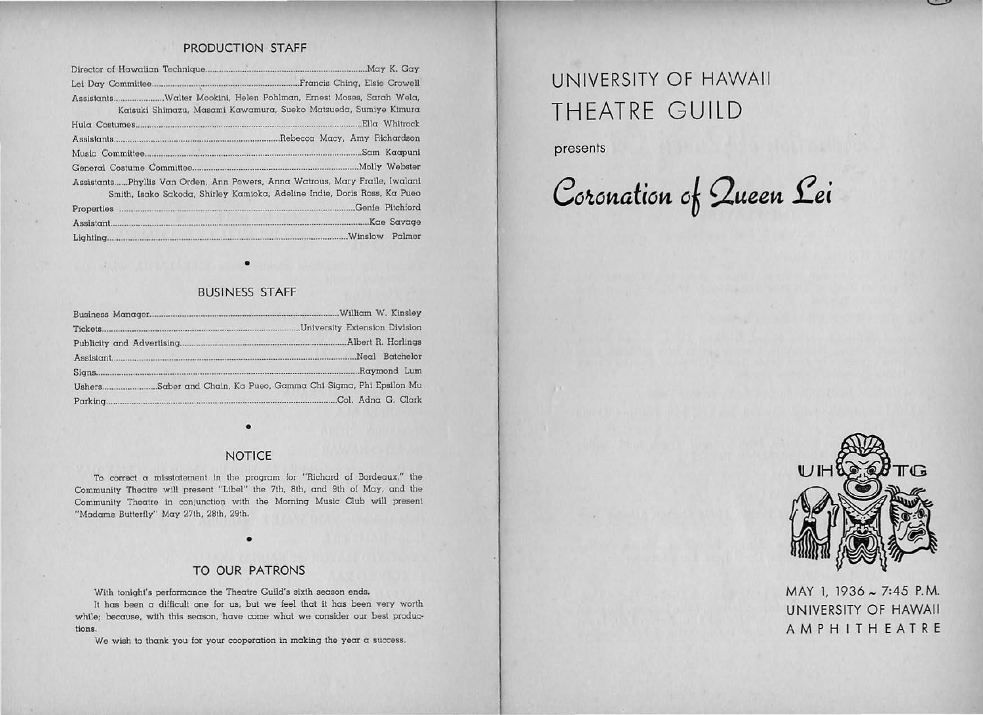## PRODUCTION STAFF

| AssistantsWalter Mookini, Helen Pohlman, Ernest Moses, Sarah Wela,<br>Katsuki Shimazu, Masami Kawamura, Sueko Matsueda, Sumiye Kimura                   |
|---------------------------------------------------------------------------------------------------------------------------------------------------------|
|                                                                                                                                                         |
|                                                                                                                                                         |
|                                                                                                                                                         |
|                                                                                                                                                         |
| AssistantsPhyllis Van Orden, Ann Powers, Anna Watrous, Mary Fraile, Iwalani<br>Smith, Isako Sakoda, Shirley Kamioka, Adeline Indie, Doris Ross, Ka Pueo |
|                                                                                                                                                         |
|                                                                                                                                                         |
|                                                                                                                                                         |

# BUSINESS STAFF

•

|          | Neal Batchelor                                            |
|----------|-----------------------------------------------------------|
|          |                                                           |
| Ushers.  | Saber and Chain, Ka Pueo, Gamma Chi Sigma, Phi Epsilon Mu |
| Parking. |                                                           |

### **NOTICE**

•

To correct a misstatement in the program for "Richard of Bordeaux," the Community Theatre will present "Libel" the 7th, 8th, and 9th of May, and the Community Theatre in conjunction with the Morning Music Club will present "Madame Butterfly" May 27th, 28th, 29th.

## TO OUR PATRONS

•

With tonight's performance the Theatre Guild's sixth season ends.

It has been a difficult one for us, but we feel that it has been very worth while; because, with this season, have come what we consider our best productions.

We wish to thank you for your cooperation in making the year a success.

# UNIVERSITY OF HAWAII THEATRE GUILD

presents

33

Coronation of Queen Lei



 $\sim$ 

MAY 1, 1936 ~ 7:45 P.M. UN IVERSITY OF HAWAII AMPHITHEATRE